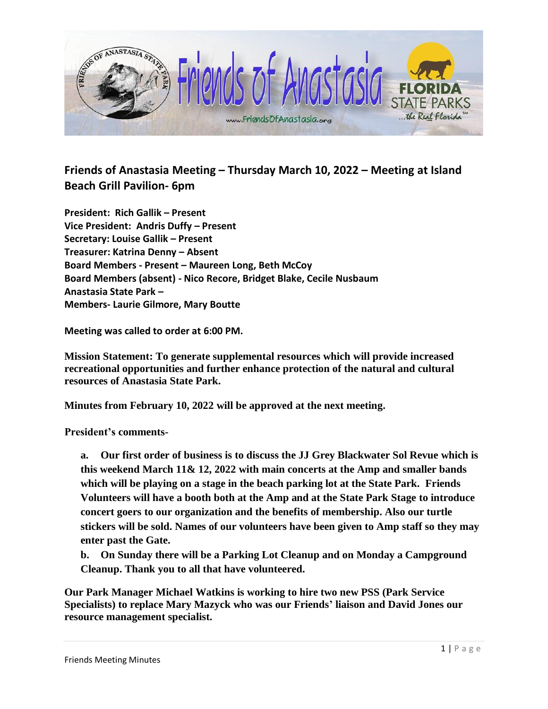

## **Friends of Anastasia Meeting – Thursday March 10, 2022 – Meeting at Island Beach Grill Pavilion- 6pm**

**President: Rich Gallik – Present Vice President: Andris Duffy – Present Secretary: Louise Gallik – Present Treasurer: Katrina Denny – Absent Board Members - Present – Maureen Long, Beth McCoy Board Members (absent) - Nico Recore, Bridget Blake, Cecile Nusbaum Anastasia State Park – Members- Laurie Gilmore, Mary Boutte**

**Meeting was called to order at 6:00 PM.** 

**Mission Statement: To generate supplemental resources which will provide increased recreational opportunities and further enhance protection of the natural and cultural resources of Anastasia State Park.**

**Minutes from February 10, 2022 will be approved at the next meeting.** 

**President's comments-**

**a. Our first order of business is to discuss the JJ Grey Blackwater Sol Revue which is this weekend March 11& 12, 2022 with main concerts at the Amp and smaller bands which will be playing on a stage in the beach parking lot at the State Park. Friends Volunteers will have a booth both at the Amp and at the State Park Stage to introduce concert goers to our organization and the benefits of membership. Also our turtle stickers will be sold. Names of our volunteers have been given to Amp staff so they may enter past the Gate.**

**b. On Sunday there will be a Parking Lot Cleanup and on Monday a Campground Cleanup. Thank you to all that have volunteered.**

**Our Park Manager Michael Watkins is working to hire two new PSS (Park Service Specialists) to replace Mary Mazyck who was our Friends' liaison and David Jones our resource management specialist.**